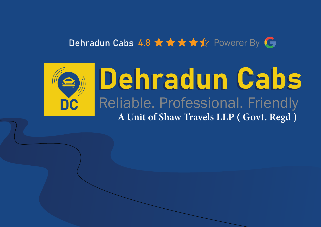### Dehradun Cabs 4.8 ★ ★ ★ ★ ★ ☆ Powerer By G

### DC Dehradun Cabs Reliable. Professional. Friendly A Unit of Shaw Travels LLP ( Govt. Regd )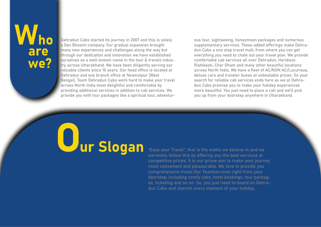## are we?

Dehradun Cabs started its journey in 2007 and this is solely a Dev Bhoomi company. Our gradual expansion brought many new experiences and challenges along the way but through our dedication and innovation we have established ourselves as a well-known name in the tour & travels industry across Uttarakhand. We have been diligently serving our valuable clients since 10 years. Our head office is located at Dehradun and one branch office at Neamatpur (West Bengal). Team Dehradun Cabs work hard to make your travel across North India most delightful and comfortable by providing additional services in addition to cab services. We provide you with tour packages like a spiritual tour, adventurous tour, sightseeing, honeymoon packages and numerous supplementary services. These added offerings make Dehradun Cabs a one stop travel mall, from where you can get everything you need to chalk out your travel plan. We provide comfortable cab services all over Dehradun, Haridwar, Rishikesh, Char Dham and many other beautiful locations across North India. We have a fleet of AC/NON AC/Luxurious, deluxe cars and traveler buses at unbeatable prices. So your search for reliable cab services ends here as we at Dehradun Cabs promise you to make your holiday experiences more beautiful. You just need to place a call and we'll pick you up from your doorstep anywhere in Uttarakhand.

# Uur Slogan

"Ease your Travel", that is the motto we believe in and we earnestly follow this by offering you the best services at competitive prices. It is our prime aim to make your journey most convenient and pleasurable. We love to provide you comprehensive travel Our Teamservices right from your doorstep, including comfy cabs, hotel bookings, tour packages, ticketing and so on. So, you just need to board on Dehradun Cabs and cherish every moment of your holiday.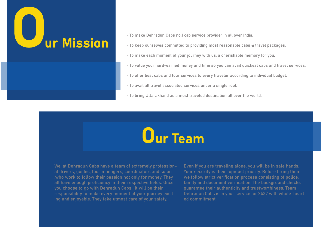

- ï To make Dehradun Cabs no.1 cab service provider in all over India.
- ï To keep ourselves committed to providing most reasonable cabs & travel packages.
- ï To make each moment of your journey with us, a cherishable memory for you.
- ï To value your hard-earned money and time so you can avail quickest cabs and travel services.
- $\cdot$  To offer best cabs and tour services to every traveler according to individual budget.
- $\cdot$  To avail all travel associated services under a single roof.
- $\cdot$  To bring Uttarakhand as a most traveled destination all over the world.



We, at Dehradun Cabs have a team of extremely professional drivers, guides, tour managers, coordinators and so on ,who work to follow their passion not only for money. They all have enough proficiency in their respective fields. Once you choose to go with Dehradun Cabs , it will be their responsibility to make every moment of your journey exciting and enjoyable. They take utmost care of your safety.

Even if you are traveling alone, you will be in safe hands. Your security is their topmost priority. Before hiring them we follow strict verification process consisting of police, family and document verification. The background checks guarantee their authenticity and trustworthiness. Team Dehradun Cabs is in your service for 24X7 with whole-hearted commitment.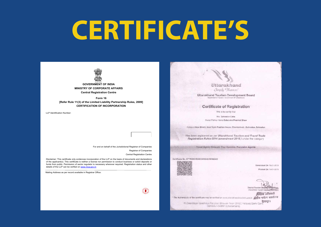## **CERTIFICATE'S**



**MINISTRY OF CORPORATE AFFAIRS Central Registration Centre** 

**Form 16 [Refer Rule 11(3) of the Limited Liability Partnership Rules, 2009] CERTIFICATION OF INCORPORATION** 

LLP Identification Number:

For and on behalf of the Jurisdictional Registrar of Companies

Registrar of Companies Central Registration Centre

 $\mathbf{r}$ 

Disclaimer: This certificate only evidences incorporation of the LLP on the basis of documents and declarations of the applicant(s). This certificate is neither a license nor permission to conduct business or solicit deposits or funds from public. Permission of sector regulator is necessary wherever required. Registration status and other details of the LLP can be verified on www.mca.gov.in

Mailing Address as per record available in Registrar Office:

Uttarakhand Simply Hoopen!

Uttarakhand Tourism Development Board Department of Toucers, Government Of UI

#### Certificate of Registration

This is to certify that

M/s. Dehradun Cabs Owner:Partner Name Debendra Prashad Shaw

Addisss Amar Bharti, Near Vipin Pradhan House, Chanderbani - Dehradun, Detwadun

Has been registered as per Uttarakhand Tourism and Travel Trade Registration Rules-2014 (amendment 2016) under the category

Travel Agent, Domestic Tour Operator, Excursion Agents

Certificate No. UTTR/DEHRADUN/09-2019/002432



Generated On 19-01-2019 Printed On 19-01-2019

District Tourism Develop Uttarakhand Tourism Developeme

श्चिटक अधिकारी \* The Authenticity of the certificate may be verified on som utbrationalisation was spoken and entitled

all Construction Parystan Bhawan Near CMGC Helipad Gami Cantra<br>משלום המונים המונים המונים המונים המונים המונים במונים במונים המונים המונים המונים המונים במונים המונים במונים<br>במונים המונים המונים המונים המונים המונים המונ Deteradun-248001/Uttarakhand)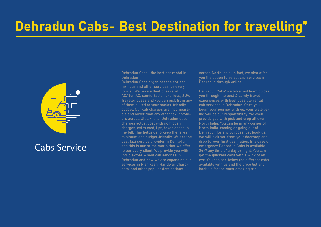### Dehradun Cabs- Best Destination for travelling"



### Cabs Service

Dehradun Cabs –the best car rental in Dehradun

Dehradun Cabs organizes the coziest taxi, bus and other services for every tourist. We have a fleet of several AC/Non AC, comfortable, luxurious, SUV, Traveler buses and you can pick from any of them suited to your pocket-friendly budget. Our cab charges are incomparable and lower than any other taxi providers across Uttrakhand. Dehradun Cabs charges actual cost with no hidden charges, extra cost, tips, taxes added in the bill. This helps us to keep the fares minimum and budget-friendly. We are the best taxi service provider in Dehradun and this is our prime motto that we offer to our every client. We provide you with trouble-free & best cab services in Dehradun and now we are expanding our services in Rishikesh, Haridwar Chardham, and other popular destinations

across North India. In fact, we also offer you the option to select cab services in Dehradun through online.

Dehradun Cabs' well-trained team guides you through the best & comfy travel experiences with best possible rental cab services in Dehradun. Once you begin your journey with us, your well-being will be our responsibility. We even provide you with pick and drop all over North India. You can be in any corner of North India, coming or going out of Dehradun for any purpose just book us. We will pick you from your doorstep and drop to your final destination. In a case of emergency Dehradun Cabs is available 24×7 any time of a day or night. You can get the quickest cabs with a wink of an eye. You can see below the different cabs available with us and the price list and book us for the most amazing trip.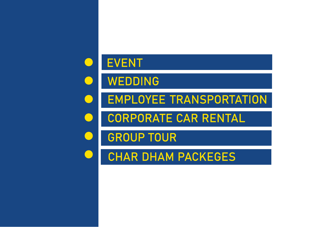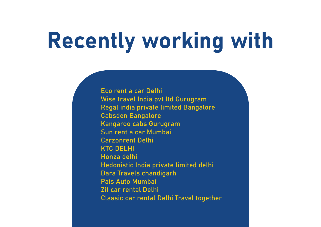## Recently working with

Eco rent a car Delhi Wise travel India pvt ltd Gurugram Regal india private limited Bangalore Cabsden Bangalore Kangaroo cabs Gurugram Sun rent a car Mumbai Carzonrent Delhi KTC DELHI Honza delhi Hedonistic India private limited delhi Dara Travels chandigarh Pais Auto Mumbai Zit car rental Delhi Classic car rental Delhi Travel together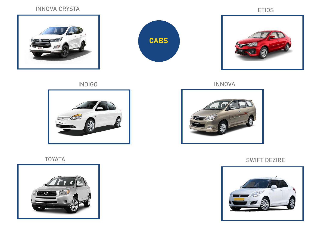#### INNOVA CRYSTA

ETIOS







INNOVA







#### TOYATA SWIFT DEZIRE